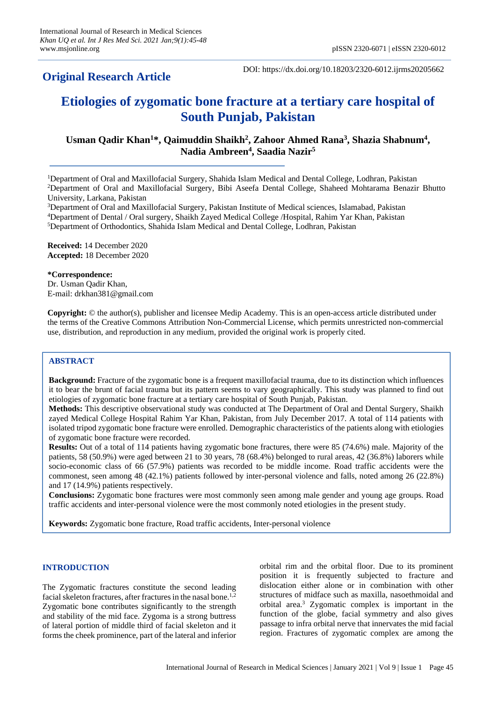## **Original Research Article**

DOI: https://dx.doi.org/10.18203/2320-6012.ijrms20205662

# **Etiologies of zygomatic bone fracture at a tertiary care hospital of South Punjab, Pakistan**

## Usman Qadir Khan<sup>1\*</sup>, Qaimuddin Shaikh<sup>2</sup>, Zahoor Ahmed Rana<sup>3</sup>, Shazia Shabnum<sup>4</sup>, **Nadia Ambreen<sup>4</sup> , Saadia Nazir<sup>5</sup>**

<sup>1</sup>Department of Oral and Maxillofacial Surgery, Shahida Islam Medical and Dental College, Lodhran, Pakistan <sup>2</sup>Department of Oral and Maxillofacial Surgery, Bibi Aseefa Dental College, Shaheed Mohtarama Benazir Bhutto University, Larkana, Pakistan

<sup>3</sup>Department of Oral and Maxillofacial Surgery, Pakistan Institute of Medical sciences, Islamabad, Pakistan <sup>4</sup>Department of Dental / Oral surgery, Shaikh Zayed Medical College /Hospital, Rahim Yar Khan, Pakistan <sup>5</sup>Department of Orthodontics, Shahida Islam Medical and Dental College, Lodhran, Pakistan

**Received:** 14 December 2020 **Accepted:** 18 December 2020

**\*Correspondence:** Dr. Usman Qadir Khan, E-mail: drkhan381@gmail.com

**Copyright:** © the author(s), publisher and licensee Medip Academy. This is an open-access article distributed under the terms of the Creative Commons Attribution Non-Commercial License, which permits unrestricted non-commercial use, distribution, and reproduction in any medium, provided the original work is properly cited.

### **ABSTRACT**

**Background:** Fracture of the zygomatic bone is a frequent maxillofacial trauma, due to its distinction which influences it to bear the brunt of facial trauma but its pattern seems to vary geographically. This study was planned to find out etiologies of zygomatic bone fracture at a tertiary care hospital of South Punjab, Pakistan.

**Methods:** This descriptive observational study was conducted at The Department of Oral and Dental Surgery, Shaikh zayed Medical College Hospital Rahim Yar Khan, Pakistan, from July December 2017. A total of 114 patients with isolated tripod zygomatic bone fracture were enrolled. Demographic characteristics of the patients along with etiologies of zygomatic bone fracture were recorded.

**Results:** Out of a total of 114 patients having zygomatic bone fractures, there were 85 (74.6%) male. Majority of the patients, 58 (50.9%) were aged between 21 to 30 years, 78 (68.4%) belonged to rural areas, 42 (36.8%) laborers while socio-economic class of 66 (57.9%) patients was recorded to be middle income. Road traffic accidents were the commonest, seen among 48 (42.1%) patients followed by inter-personal violence and falls, noted among 26 (22.8%) and 17 (14.9%) patients respectively.

**Conclusions:** Zygomatic bone fractures were most commonly seen among male gender and young age groups. Road traffic accidents and inter-personal violence were the most commonly noted etiologies in the present study.

**Keywords:** Zygomatic bone fracture, Road traffic accidents, Inter-personal violence

#### **INTRODUCTION**

The Zygomatic fractures constitute the second leading facial skeleton fractures, after fractures in the nasal bone.<sup>1,2</sup> Zygomatic bone contributes significantly to the strength and stability of the mid face. Zygoma is a strong buttress of lateral portion of middle third of facial skeleton and it forms the cheek prominence, part of the lateral and inferior orbital rim and the orbital floor. Due to its prominent position it is frequently subjected to fracture and dislocation either alone or in combination with other structures of midface such as maxilla, nasoethmoidal and orbital area.<sup>3</sup> Zygomatic complex is important in the function of the globe, facial symmetry and also gives passage to infra orbital nerve that innervates the mid facial region. Fractures of zygomatic complex are among the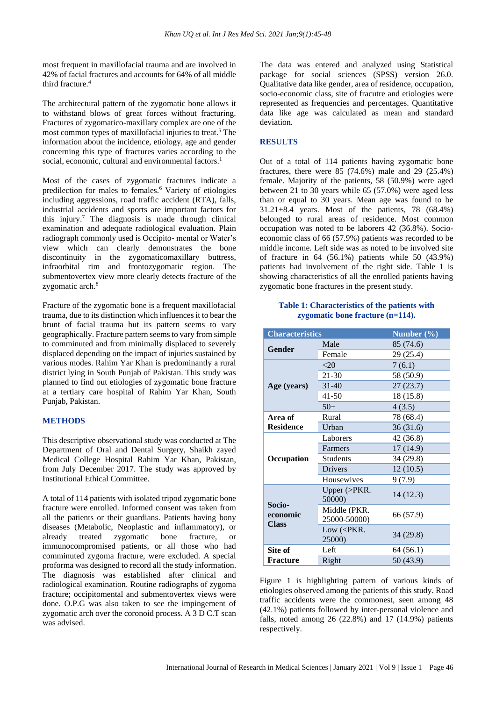most frequent in maxillofacial trauma and are involved in 42% of facial fractures and accounts for 64% of all middle third fracture.<sup>4</sup>

The architectural pattern of the zygomatic bone allows it to withstand blows of great forces without fracturing. Fractures of zygomatico-maxillary complex are one of the most common types of maxillofacial injuries to treat.<sup>5</sup> The information about the incidence, etiology, age and gender concerning this type of fractures varies according to the social, economic, cultural and environmental factors.<sup>1</sup>

Most of the cases of zygomatic fractures indicate a predilection for males to females.<sup>6</sup> Variety of etiologies including aggressions, road traffic accident (RTA), falls, industrial accidents and sports are important factors for this injury.<sup>7</sup> The diagnosis is made through clinical examination and adequate radiological evaluation. Plain radiograph commonly used is Occipito- mental or Water's view which can clearly demonstrates the bone discontinuity in the zygomaticomaxillary buttress, infraorbital rim and frontozygomatic region. The submentovertex view more clearly detects fracture of the zygomatic arch.<sup>8</sup>

Fracture of the zygomatic bone is a frequent maxillofacial trauma, due to its distinction which influences it to bear the brunt of facial trauma but its pattern seems to vary geographically. Fracture pattern seems to vary from simple to comminuted and from minimally displaced to severely displaced depending on the impact of injuries sustained by various modes. Rahim Yar Khan is predominantly a rural district lying in South Punjab of Pakistan. This study was planned to find out etiologies of zygomatic bone fracture at a tertiary care hospital of Rahim Yar Khan, South Punjab, Pakistan.

#### **METHODS**

This descriptive observational study was conducted at The Department of Oral and Dental Surgery, Shaikh zayed Medical College Hospital Rahim Yar Khan, Pakistan, from July December 2017. The study was approved by Institutional Ethical Committee.

A total of 114 patients with isolated tripod zygomatic bone fracture were enrolled. Informed consent was taken from all the patients or their guardians. Patients having bony diseases (Metabolic, Neoplastic and inflammatory), or already treated zygomatic bone fracture, or immunocompromised patients, or all those who had comminuted zygoma fracture, were excluded. A special proforma was designed to record all the study information. The diagnosis was established after clinical and radiological examination. Routine radiographs of zygoma fracture; occipitomental and submentovertex views were done. O.P.G was also taken to see the impingement of zygomatic arch over the coronoid process. A 3 D C.T scan was advised.

The data was entered and analyzed using Statistical package for social sciences (SPSS) version 26.0. Qualitative data like gender, area of residence, occupation, socio-economic class, site of fracutre and etiologies were represented as frequencies and percentages. Quantitative data like age was calculated as mean and standard deviation.

#### **RESULTS**

Out of a total of 114 patients having zygomatic bone fractures, there were 85 (74.6%) male and 29 (25.4%) female. Majority of the patients, 58 (50.9%) were aged between 21 to 30 years while 65 (57.0%) were aged less than or equal to 30 years. Mean age was found to be 31.21+8.4 years. Most of the patients, 78 (68.4%) belonged to rural areas of residence. Most common occupation was noted to be laborers 42 (36.8%). Socioeconomic class of 66 (57.9%) patients was recorded to be middle income. Left side was as noted to be involved site of fracture in 64 (56.1%) patients while 50 (43.9%) patients had involvement of the right side. Table 1 is showing characteristics of all the enrolled patients having zygomatic bone fractures in the present study.

#### **Table 1: Characteristics of the patients with zygomatic bone fracture (n=114).**

| <b>Characteristics</b>             |                                       | Number $(\% )$ |
|------------------------------------|---------------------------------------|----------------|
| <b>Gender</b>                      | Male                                  | 85 (74.6)      |
|                                    | Female                                | 29 (25.4)      |
| Age (years)                        | $<$ 20                                | 7(6.1)         |
|                                    | 21-30                                 | 58 (50.9)      |
|                                    | $31-40$                               | 27(23.7)       |
|                                    | $41 - 50$                             | 18 (15.8)      |
|                                    | $50+$                                 | 4(3.5)         |
| Area of                            | Rural                                 | 78 (68.4)      |
| <b>Residence</b>                   | Urban                                 | 36(31.6)       |
| Occupation                         | Laborers                              | 42 (36.8)      |
|                                    | Farmers                               | 17 (14.9)      |
|                                    | <b>Students</b>                       | 34 (29.8)      |
|                                    | <b>Drivers</b>                        | 12(10.5)       |
|                                    | Housewives                            | 9(7.9)         |
| Socio-<br>economic<br><b>Class</b> | Upper $\triangleright$ PKR.<br>50000) | 14 (12.3)      |
|                                    | Middle (PKR.<br>25000-50000)          | 66 (57.9)      |
|                                    | Low ( <pkr.<br>25000)</pkr.<br>       | 34 (29.8)      |
| Site of                            | Left                                  | 64 (56.1)      |
| <b>Fracture</b>                    | Right                                 | 50 (43.9)      |

Figure 1 is highlighting pattern of various kinds of etiologies observed among the patients of this study. Road traffic accidents were the commonest, seen among 48 (42.1%) patients followed by inter-personal violence and falls, noted among 26 (22.8%) and 17 (14.9%) patients respectively.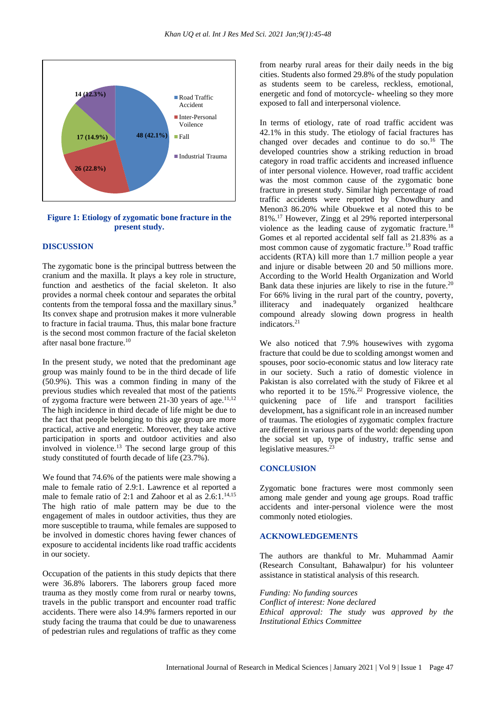

**Figure 1: Etiology of zygomatic bone fracture in the present study.**

#### **DISCUSSION**

The zygomatic bone is the principal buttress between the cranium and the maxilla. It plays a key role in structure, function and aesthetics of the facial skeleton. It also provides a normal cheek contour and separates the orbital contents from the temporal fossa and the maxillary sinus.<sup>9</sup> Its convex shape and protrusion makes it more vulnerable to fracture in facial trauma. Thus, this malar bone fracture is the second most common fracture of the facial skeleton after nasal bone fracture.<sup>10</sup>

In the present study, we noted that the predominant age group was mainly found to be in the third decade of life (50.9%). This was a common finding in many of the previous studies which revealed that most of the patients of zygoma fracture were between  $21-30$  years of age.<sup>11,12</sup> The high incidence in third decade of life might be due to the fact that people belonging to this age group are more practical, active and energetic. Moreover, they take active participation in sports and outdoor activities and also involved in violence.<sup>13</sup> The second large group of this study constituted of fourth decade of life (23.7%).

We found that 74.6% of the patients were male showing a male to female ratio of 2.9:1. Lawrence et al reported a male to female ratio of 2:1 and Zahoor et al as  $2.6:1$ .<sup>14,15</sup> The high ratio of male pattern may be due to the engagement of males in outdoor activities, thus they are more susceptible to trauma, while females are supposed to be involved in domestic chores having fewer chances of exposure to accidental incidents like road traffic accidents in our society.

Occupation of the patients in this study depicts that there were 36.8% laborers. The laborers group faced more trauma as they mostly come from rural or nearby towns, travels in the public transport and encounter road traffic accidents. There were also 14.9% farmers reported in our study facing the trauma that could be due to unawareness of pedestrian rules and regulations of traffic as they come from nearby rural areas for their daily needs in the big cities. Students also formed 29.8% of the study population as students seem to be careless, reckless, emotional, energetic and fond of motorcycle- wheeling so they more exposed to fall and interpersonal violence.

In terms of etiology, rate of road traffic accident was 42.1% in this study. The etiology of facial fractures has changed over decades and continue to do so.<sup>16</sup> The developed countries show a striking reduction in broad category in road traffic accidents and increased influence of inter personal violence. However, road traffic accident was the most common cause of the zygomatic bone fracture in present study. Similar high percentage of road traffic accidents were reported by Chowdhury and Menon3 86.20% while Obuekwe et al noted this to be 81%.<sup>17</sup> However, Zingg et al 29% reported interpersonal violence as the leading cause of zygomatic fracture.<sup>18</sup> Gomes et al reported accidental self fall as 21.83% as a most common cause of zygomatic fracture.<sup>19</sup> Road traffic accidents (RTA) kill more than 1.7 million people a year and injure or disable between 20 and 50 millions more. According to the World Health Organization and World Bank data these injuries are likely to rise in the future.<sup>20</sup> For 66% living in the rural part of the country, poverty, illiteracy and inadequately organized healthcare compound already slowing down progress in health indicators.<sup>21</sup>

We also noticed that 7.9% housewives with zygoma fracture that could be due to scolding amongst women and spouses, poor socio-economic status and low literacy rate in our society. Such a ratio of domestic violence in Pakistan is also correlated with the study of Fikree et al who reported it to be  $15\%$ .<sup>22</sup> Progressive violence, the quickening pace of life and transport facilities development, has a significant role in an increased number of traumas. The etiologies of zygomatic complex fracture are different in various parts of the world: depending upon the social set up, type of industry, traffic sense and legislative measures.<sup>23</sup>

#### **CONCLUSION**

Zygomatic bone fractures were most commonly seen among male gender and young age groups. Road traffic accidents and inter-personal violence were the most commonly noted etiologies.

#### **ACKNOWLEDGEMENTS**

The authors are thankful to Mr. Muhammad Aamir (Research Consultant, Bahawalpur) for his volunteer assistance in statistical analysis of this research.

*Funding: No funding sources Conflict of interest: None declared Ethical approval: The study was approved by the Institutional Ethics Committee*